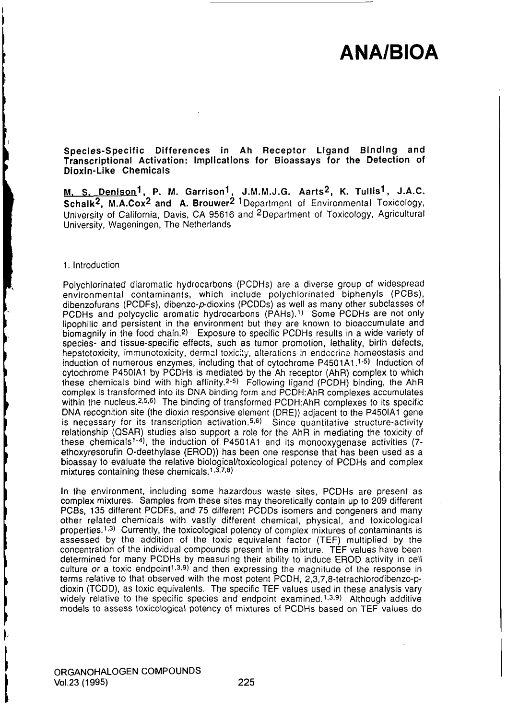Species-Specific Differences in Ah Receptor Ligand Binding and Transcriptional Activation: Implications for Bioassays for the Detection of Dioxin-Like Chemicals

<u>M, S. Denison</u><sup>1</sup>, P. M. Garrison<sup>1</sup>, J.M.M.J.G. Aarts<sup>2</sup>, K. Tullis<sup>1</sup>, J.A.C. Schalk<sup>2</sup>, M.A.Cox<sup>2</sup> and A. Brouwer<sup>2 1</sup>Department of Environmental Toxicology, University of California, Davis, CA 95616 and 2Department of Toxicology, Agricultural University, Wageningen, The Netheriands

### 1. Introduction

Polychlorinated diaromatic hydrocarbons (PCDHs) are a diverse group of widespread environmental contaminants, which include polychlorinated biphenyls (PCBs), dibenzofurans (PCDFs), dibenzo-p-dioxins (PCDDs) as well as many other subclasses of PCDHs and polycyclic aromatic hydrocarbons (PAHs).<sup>1)</sup> Some PCDHs are not only lipophilic and persistent in the environment but they are known to bioaccumulate and biomagnify in the food chain.2) Exposure to specific PCDHs results in a wide variety of species- and tissue-specific effects, such as tumor promotion, lethality, birth defects, hepatotoxicity, immunotoxicity, dermal toxicily, alterations in endocrine homeostasis and induction of numerous enzymes, including that of cytochrome P4501A1.1-5) Induction of  $c$ ytochrome P450IA1 by PCDHs is mediated by the Ah receptor (AhR) complex to which these chemicals bind with high affinity.2-5) Following ligand (PCDH) binding, the AhR complex is transformed into its DNA binding form and PCDH:AhR complexes accumulates within the nucleus.<sup>2,5,6</sup>) The binding of transformed PCDH:AhR complexes to its specific DNA recognition site (the dioxin responsive element (DRE)) adjacent to the P450IA1 gene is necessary for its transcription activation.<sup>5,6)</sup> Since quantitative structure-activity relationship (QSAR) studies also support a role for the AhR in mediating the toxicity of these chemicals<sup>1-4</sup>), the induction of P4501A1 and its monooxygenase activities (7ethoxyresorufin O-deethylase (EROD)) has been one response that has been used as a bioassay to evaluate the relative biological/toxicological potency of PCDHs and complex mixtures containing these chemicals. $1,3,7,8$ )

In the environment, including some hazardous waste sites, PCDHs are present as complex mixtures. Samples from these sites may theoretically contain up to 209 different PCBs, 135 different PCDFs, and 75 different PCDDs isomers and congeners and many other related chemicals with vastly different chemical, physical, and toxicological properties.<sup>1,3)</sup> Currently, the toxicological potency of complex mixtures of contaminants is assessed by the addition of the toxic equivalent factor (TEF) multiplied by the concentration of the individual compounds present in the mixture. TEF values have been determined for many PCDHs by measuring their ability to induce EROD activity in cell culture or a toxic endpoint<sup>1,3,9)</sup> and then expressing the magnitude of the response in terms relative to that observed with the most potent PCDH, 2,3,7,8-tetrachlorodibenzo-pdioxin (TCDD), as toxic equivalents. The specific TEF values used in these analysis vary widely relative to the specific species and endpoint examined.<sup>1,3,9)</sup> Although additive models to assess toxicological potency of mixtures of PCDHs based on TEF values do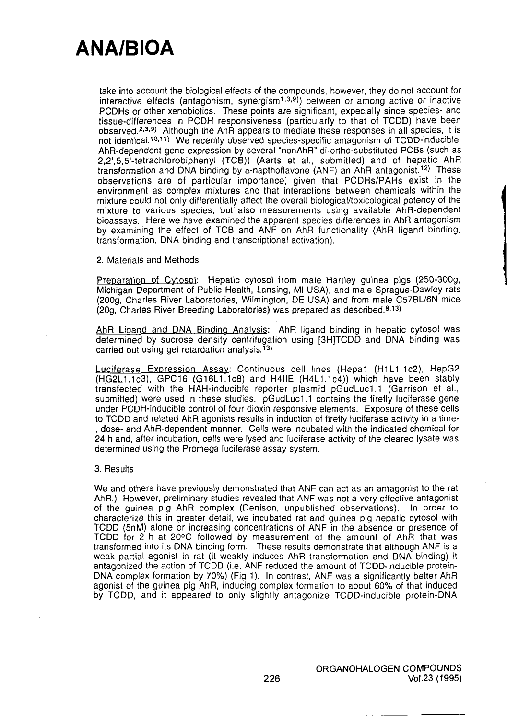take into account the biological effects of the compounds, however, they do not account for interactive effects (antagonism, synergism<sup>1,3,9</sup>)) between or among active or inactive PCDHs or other xenobiotics. These points are significant, expecially since species- and tissue-differences in PCDH responsiveness (particularly to that of TCDD) have been observed.2-3'9) Although the AhR appears to mediate these responses in all species, it is not identical.<sup>10,11</sup>) We recently observed species-specific antagonism of TCDD-inducible, AhR-dependent gene expression by several "nonAhR" di-ortho-substituted PCBs (such as 2,2',5,5'-tetrachlorobiphenyl (TCB)) (Aarts et al., submitted) and of hepatic AhR transformation and DNA binding by  $\alpha$ -napthoflavone (ANF) an AhR antagonist.<sup>12)</sup> These observations are of particular importance, given that PCDHs/PAHs exist in the environment as complex mixtures and that interactions between chemicals within the mixture could not only differentially affect the overall biological/toxicological potency of the mixture to various species, but" also measurements using available AhR-dependent bioassays. Here we liave examined the apparent species differences in AhR antagonism by examining the effect of TCB and ANF on AhR functionality (AhR ligand binding, transformation, DNA binding and transcriptional activation).

### 2. Materials and Methods

Preparation of Cytosol: Hepatic cytosol from male Hartley guinea pigs (250-300g, Michigan Department of Public Health, Lansing, Ml USA), and male Sprague-Dawley rats (200g, Charles River Laboratories, Wilmington, DE USA) and from male C57BL/6N mice. (20g, Charies River Breeding Laboratories) was prepared as described.8.13)

AhR Ligand and DNA Binding Analysis: AhR ligand binding in hepatic cytosol was determined by sucrose density centrifugation using [3HJTCDD and DNA binding was carried out using gel retardation analysis.<sup>13)</sup>

Luciferase Expression Assav: Continuous cell lines (Hepal (HlL1.1c2), HepG2 (HG2L1.1c3), GPC16 (G16L1.1c8) and H4IIE (H4L1.lc4)) which have been stably transfected with the HAH-inducible reporter plasmid pGudLucl.1 (Garrison et al., submitted) were used in these studies. pGudLuc1.1 contains the firefly luciferase gene under PCDH-inducible control of four dioxin responsive elements. Exposure of these cells to TCDD and related AhR agonists results in induction of firefly luciferase activity in a time- , dose- and AhR-dependent manner. Cells were incubated with the indicated chemical for 24 h and, after incubation, cells were lysed and luciferase activity of the cleared lysate was determined using the Promega luciferase assay system.

#### 3. Results

We and others have previously demonstrated that ANF can act as an antagonist to the rat AhR.) However, preliminary studies revealed that ANF was not a very effective antagonist of the guinea pig AhR complex (Denison, unpublished observations). In order to characterize this in greater detail, we incubated rat and guinea pig hepatic cytosol with TCDD (5nM) alone or increasing concentrations of ANF in the absence or presence of TCDD for 2 h at 20°C followed by measurement of the amount of AhR that was transformed into its DNA binding form. These results demonstrate that although ANF is a weak partial agonist in rat (it weakly induces AhR transformation and DNA binding) it antagonized the action of TCDD (i.e. ANF reduced the amount of TCDD-inducible protein-DNA complex formation by 70%) (Fig 1). In contrast, ANF was a significantly better AhR agonist of the guinea pig AhR, inducing complex formation to about 60% of that induced by TCDD, and it appeared to only slightly antagonize TCDD-inducible protein-DNA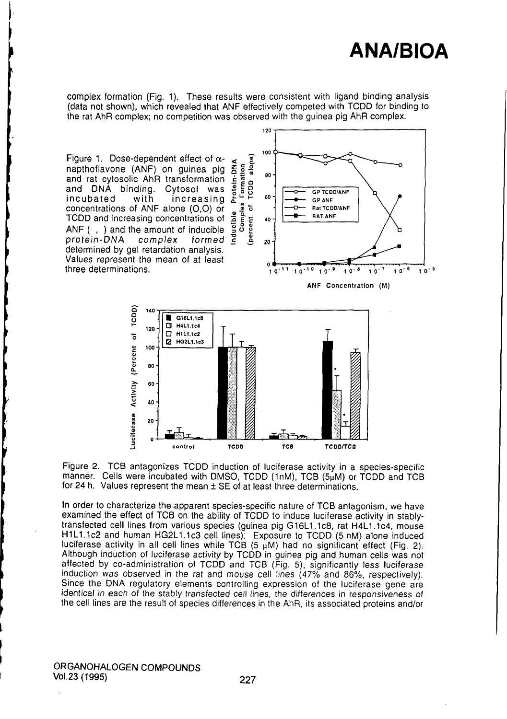

complex formation (Fig. 1). These results were consistent with ligand binding analysis (data not shown), which revealed that ANF effectively competed with TCDD for binding to the rat AhR complex; no competition was observed with the guinea pig AhR complex.

Figure 1. Dose-dependent effect of  $\alpha$ napthoflavone (ANF) on guinea pig and rat cytosolic AhR transformation and DNA binding. Cytosol was<br>incubated with increasing incubated with increasing concentrations of ANF alone (0,0) or TCDD and increasing concentrations of ANF ( , ) and the amount of inducible protein-DNA complex formed determined by gel retardation analysis. Values represent the mean of at least three determinations.





Figure 2. TCB antagonizes TCDD induction of luciferase activity in a species-specific manner. Cells were incubated with DMSO, TCDD (1nM), TCB (5µM) or TCDD and TCB for 24 h. Values represent the mean  $\pm$  SE of at least three determinations.

In order to characterize the apparent species-specific nature of TCB antagonism, we have examined the effect of TCB on the ability of TCDD to induce luciferase activity in stablytransfected cell lines from various species (guinea pig Gl6L1.lc8, rat H4L1.1c4, mouse H1L1.1c2 and human HG2L1.1c3 cell lines). Exposure to TCDD (5 nM) alone induced luciferase activity in all cell lines while TCB  $(5 \mu M)$  had no significant effect (Fig. 2). Although induction of luciferase activity by TCDD in guinea pig and human cells was not affected by co-administration of TCDD and TCB (Fig. 5), significantly less luciferase induction was observed in the rat and mouse cell lines (47% and 86%, respectively). Since the DNA regulatory elements controlling expression of the luciferase gene are identical in each of the stably transfected cell lines, the differences in responsiveness of the cell lines are the result of species differences in the AhR, its associated proteins and/or

ORGANOHALOGEN COMPOUNDS Vol.23 (1995) 227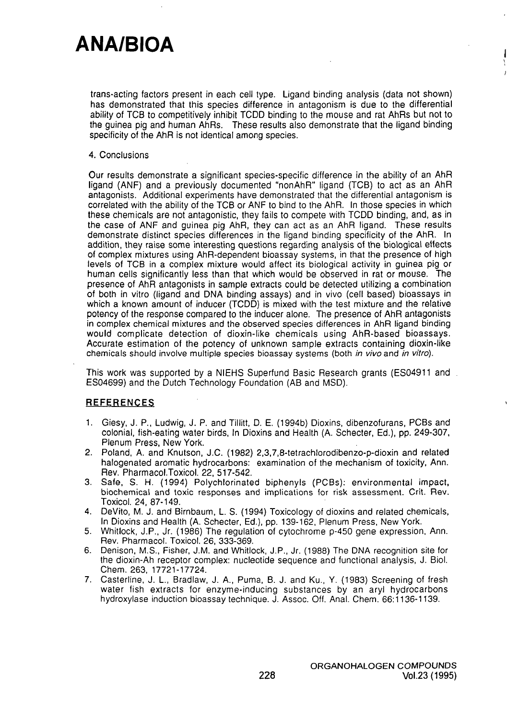trans-acting factors present in each cell type. Ligand binding analysis (data not shown) has demonstrated that this species difference in antagonism is due to the differential ability of TCB to competitively inhibit TCDD binding to the mouse and rat AhRs but not to the guinea pig and human AhRs. These results also demonstrate that the ligand binding specificity of the AhR is not identical among species.

### 4. Conclusions

Our results demonstrate a significant species-specific difference in the ability of an AhR ligand (ANF) and a previously documented "nonAhR" ligand (TCB) to act as an AhR antagonists. Additional experiments have demonstrated that the differential antagonism is correlated with the ability of the TCB or ANF to bind to the AhR. In those species in which these chemicals are not antagonistic, they fails to compete with TCDD binding, and, as in the case of ANF and guinea pig AhR, they can act as an AhR ligand. These results demonstrate distinct species differences in the ligand binding specificity of the AhR. In addition, they raise some interesting questions regarding analysis of the biological effects of complex mixtures using AhR-dependent bioassay systems, in that the presence of high levels of TCB in a complex mixture would affect its biological activity in guinea pig or human cells significantly less than that which would be observed in rat or mouse. The presence of AhR antagonists in sample extracts could be detected utilizing a combination of both in vitro (ligand and DNA binding assays) and in vivo (cell based) bioassays in which a known amount of inducer (TCDD) is mixed with the test mixture and the relative potency of the response compared to the inducer alone. The presence of AhR antagonists in complex chemical mixtures and the observed species differences in AhR ligand binding would complicate detection of dioxin-like chemicals using AhR-based bioassays. Accurate estimation of the potency of unknown sample extracts containing dioxin-like chemicals should involve multiple species bioassay systems (both in vivo and in vitro).

This work was supported by a NIEHS Superfund Basic Research grants (ES04911 and ES04699) and the Dutch Technology Foundation (AB and MSD).

## **REFERENCES**

- 1. Giesy, J. P., Ludwig, J. P. and Tillitt, D. E. (1994b) Dioxins, dibenzofurans, PCBs and colonial, fish-eating water birds, In Dioxins and Health (A. Schecter, Ed.), pp. 249-307, Plenum Press, New York.
- 2. Poland, A. and Knutson, J.C. (1982) 2,3,7,8-tetrachlorodibenzo-p-dioxin and related halogenated aromatic hydrocarbons: examination of the mechanism of toxicity, Ann. Rev. Pharmacol.Toxicol. 22, 517-542.
- 3. Safe, S. H. (1994) Polychlorinated biphenyls (PCBs): environmental impact, biochemical and toxic responses and implications for risk assessment. Crit. Rev. Toxicol. 24, 87-149.
- 4. DeVito, M. J. and Birnbaum, L. S. (1994) Toxicology of dioxins and related chemicals. In Dioxins and Health (A. Schecter, Ed.), pp. 139-162, Plenum Press, New York.
- 5. Whitlock, J.P., Jr. (1986) The regulation of cytochrome p-450 gene expression, Ann. Rev. Pharmacol. Toxicol. 26, 333-369.
- 6. Denison, M.S., Fisher, J.M. and Whitlock, J.P., Jr. (1988) The DNA recognition site for the dioxin-Ah receptor complex: nucleotide sequence and functional analysis, J. Biol. Chem. 263, 17721-17724.
- 7. Casteriine, J. L., Bradlaw, J. A., Puma, B. J. and Ku., Y, (1983) Screening of fresh water fish extracts for enzyme-inducing substances by an aryl hydrocarbons hydroxylase induction bioassay technique. J. Assoc. Off. Anal. Chem. 66:1136-1139.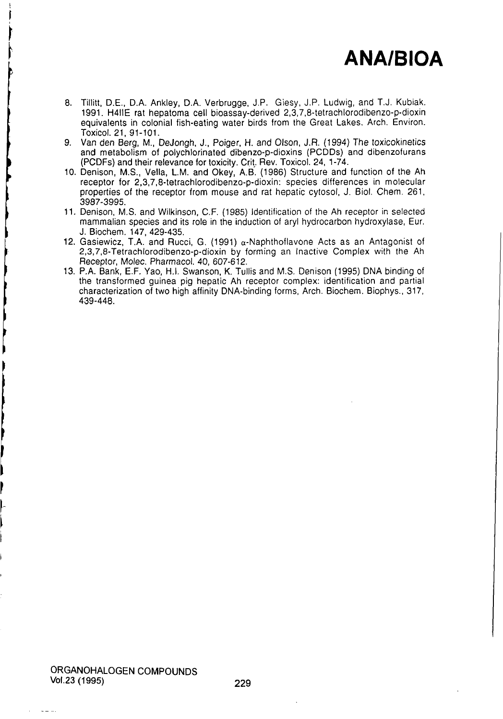- 8. Tillitt, D.E., D.A. Ankley, D.A. Verbrugge, J.P. Giesy, J.P. Ludwig, and T.J. Kubiak, 1991. H4IIE rat hepatoma cell bioassay-derived 2,3,7,8-tetrachlorodibenzo-p-dioxin equivalents in colonial fish-eating water birds from the Great Lakes. Arch. Environ. Toxicol. 21,91-101.
- 9. Van den Berg, M., DeJongh, J., Poiger, H. and Olson, J.R. (1994) The toxicokinetics and metabolism of polychlorinated dibenzo-p-dioxins (PCDDs) and dibenzofurans (PCDFs) and their relevance for toxicity. Crit. Rev. Toxicol. 24, 1-74.
- 10. Denison, M.S., Vella, L.M. and Okey, A.B'. (1986) Structure and function of the Ah receptor for 2,3,7,8-tetrachlorodibenzo-p-dioxin: species differences in molecular properties of the recepior from mouse and rat hepatic cylosol, J. Biol. Chem. 261, 3987-3995.
- 11. Denison, M.S. and Wilkinson, C.F. (1985) Identification of the Ah receptor in selected mammalian species and its role in the induction of aryl hydrocarbon hydroxylase, Eur. J. Biochem. 147,429-435.
- 12. Gasiewicz, T.A. and Rucci, G. (1991)  $\alpha$ -Naphthoflavone Acts as an Antagonist of 2,3,7,8-Tetrachlorodibenzo-p-dioxin by forming an Inactive Complex with the Ah Receptor, Molec. Pharmacol. 40, 607-612.
- 13. P.A. Bank, E.F. Yao, H.I. Swanson, K. Tullis and M.S. Denison (1995) DNA binding of the transformed guinea pig hepatic Ah receptor complex: identification and partial characterization of two high affinity DNA-binding forms. Arch. Biochem. Biophys., 317, 439-448.

 $\sim$   $\sim$